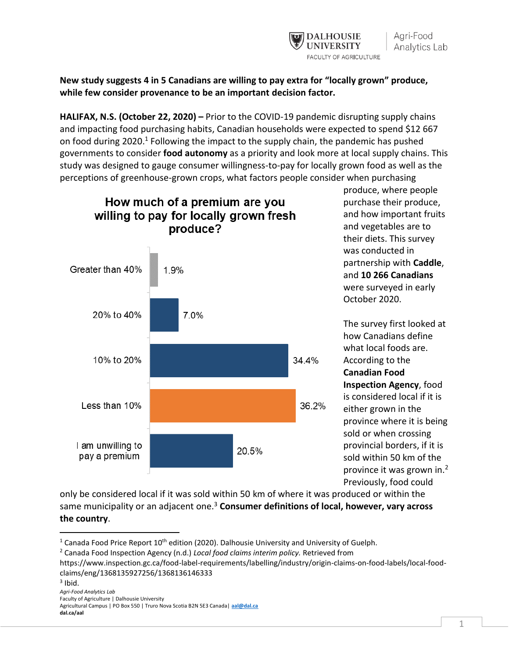

**New study suggests 4 in 5 Canadians are willing to pay extra for "locally grown" produce, while few consider provenance to be an important decision factor.** 

**HALIFAX, N.S. (October 22, 2020) –** Prior to the COVID-19 pandemic disrupting supply chains and impacting food purchasing habits, Canadian households were expected to spend \$12 667 on food during 2020.<sup>1</sup> Following the impact to the supply chain, the pandemic has pushed governments to consider **food autonomy** as a priority and look more at local supply chains. This study was designed to gauge consumer willingness-to-pay for locally grown food as well as the perceptions of greenhouse-grown crops, what factors people consider when purchasing



produce, where people purchase their produce, and how important fruits and vegetables are to their diets. This survey was conducted in partnership with **Caddle**, and **10 266 Canadians** were surveyed in early October 2020.

The survey first looked at how Canadians define what local foods are. According to the **Canadian Food Inspection Agency**, food is considered local if it is either grown in the province where it is being sold or when crossing provincial borders, if it is sold within 50 km of the province it was grown in.<sup>2</sup> Previously, food could

only be considered local if it was sold within 50 km of where it was produced or within the same municipality or an adjacent one.<sup>3</sup> **Consumer definitions of local, however, vary across the country**.

<sup>&</sup>lt;sup>1</sup> Canada Food Price Report  $10<sup>th</sup>$  edition (2020). Dalhousie University and University of Guelph.

<sup>2</sup> Canada Food Inspection Agency (n.d.) *Local food claims interim policy.* Retrieved from

https://www.inspection.gc.ca/food-label-requirements/labelling/industry/origin-claims-on-food-labels/local-foodclaims/eng/1368135927256/1368136146333

*Agri-Food Analytics Lab* Faculty of Agriculture | Dalhousie University Agricultural Campus | PO Box 550 | Truro Nova Scotia B2N 5E3 Canada| **[aal@dal.ca](mailto:aal@dal.ca) dal.ca/aal**   $3$  Ibid.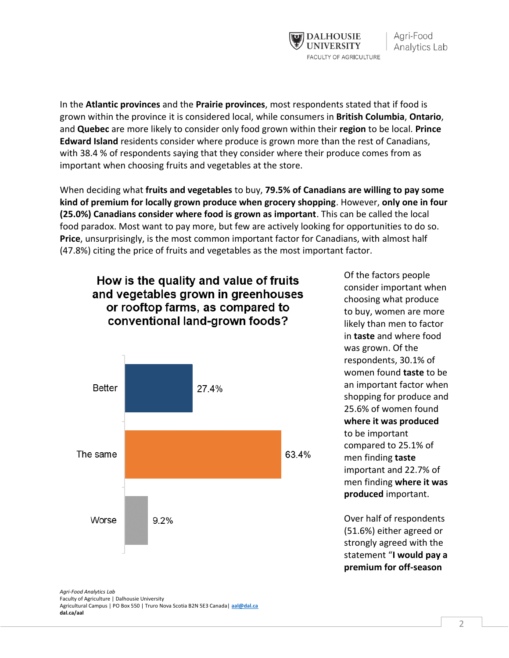

In the **Atlantic provinces** and the **Prairie provinces**, most respondents stated that if food is grown within the province it is considered local, while consumers in **British Columbia**, **Ontario**, and **Quebec** are more likely to consider only food grown within their **region** to be local. **Prince Edward Island** residents consider where produce is grown more than the rest of Canadians, with 38.4 % of respondents saying that they consider where their produce comes from as important when choosing fruits and vegetables at the store.

When deciding what **fruits and vegetables** to buy, **79.5% of Canadians are willing to pay some kind of premium for locally grown produce when grocery shopping**. However, **only one in four (25.0%) Canadians consider where food is grown as important**. This can be called the local food paradox. Most want to pay more, but few are actively looking for opportunities to do so. **Price**, unsurprisingly, is the most common important factor for Canadians, with almost half (47.8%) citing the price of fruits and vegetables as the most important factor.



Of the factors people consider important when choosing what produce to buy, women are more likely than men to factor in **taste** and where food was grown. Of the respondents, 30.1% of women found **taste** to be an important factor when shopping for produce and 25.6% of women found **where it was produced** to be important compared to 25.1% of men finding **taste** important and 22.7% of men finding **where it was produced** important.

Over half of respondents (51.6%) either agreed or strongly agreed with the statement "**I would pay a premium for off-season** 

*Agri-Food Analytics Lab* Faculty of Agriculture | Dalhousie University Agricultural Campus | PO Box 550 | Truro Nova Scotia B2N 5E3 Canada| **[aal@dal.ca](mailto:aal@dal.ca) dal.ca/aal**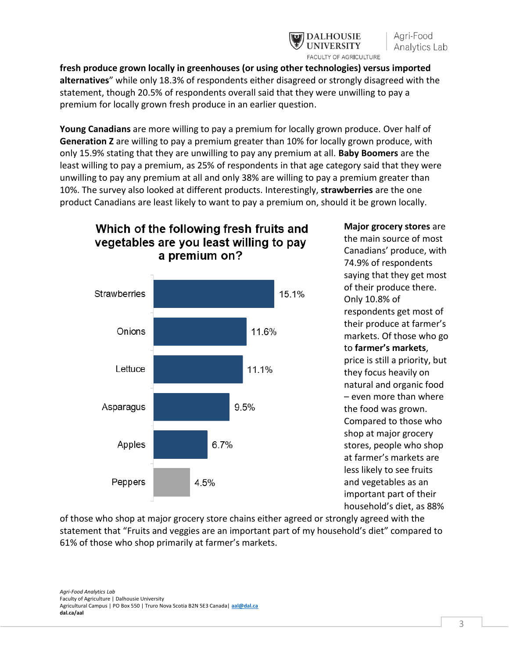

**fresh produce grown locally in greenhouses (or using other technologies) versus imported alternatives**" while only 18.3% of respondents either disagreed or strongly disagreed with the statement, though 20.5% of respondents overall said that they were unwilling to pay a premium for locally grown fresh produce in an earlier question.

**Young Canadians** are more willing to pay a premium for locally grown produce. Over half of **Generation Z** are willing to pay a premium greater than 10% for locally grown produce, with only 15.9% stating that they are unwilling to pay any premium at all. **Baby Boomers** are the least willing to pay a premium, as 25% of respondents in that age category said that they were unwilling to pay any premium at all and only 38% are willing to pay a premium greater than 10%. The survey also looked at different products. Interestingly, **strawberries** are the one product Canadians are least likely to want to pay a premium on, should it be grown locally.



Which of the following fresh fruits and

**Major grocery stores** are the main source of most Canadians' produce, with 74.9% of respondents saying that they get most of their produce there. Only 10.8% of respondents get most of their produce at farmer's markets. Of those who go to **farmer's markets**, price is still a priority, but they focus heavily on natural and organic food – even more than where the food was grown. Compared to those who shop at major grocery stores, people who shop at farmer's markets are less likely to see fruits and vegetables as an important part of their

household's diet, as 88%

of those who shop at major grocery store chains either agreed or strongly agreed with the statement that "Fruits and veggies are an important part of my household's diet" compared to 61% of those who shop primarily at farmer's markets.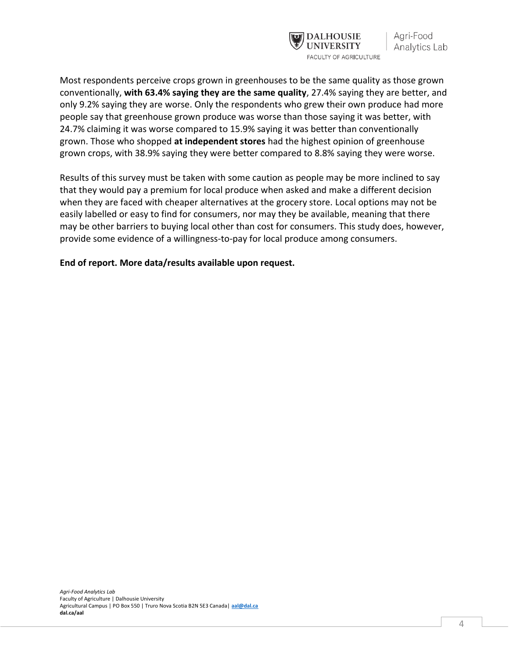

Most respondents perceive crops grown in greenhouses to be the same quality as those grown conventionally, **with 63.4% saying they are the same quality**, 27.4% saying they are better, and only 9.2% saying they are worse. Only the respondents who grew their own produce had more people say that greenhouse grown produce was worse than those saying it was better, with 24.7% claiming it was worse compared to 15.9% saying it was better than conventionally grown. Those who shopped **at independent stores** had the highest opinion of greenhouse grown crops, with 38.9% saying they were better compared to 8.8% saying they were worse.

Results of this survey must be taken with some caution as people may be more inclined to say that they would pay a premium for local produce when asked and make a different decision when they are faced with cheaper alternatives at the grocery store. Local options may not be easily labelled or easy to find for consumers, nor may they be available, meaning that there may be other barriers to buying local other than cost for consumers. This study does, however, provide some evidence of a willingness-to-pay for local produce among consumers.

**End of report. More data/results available upon request.**